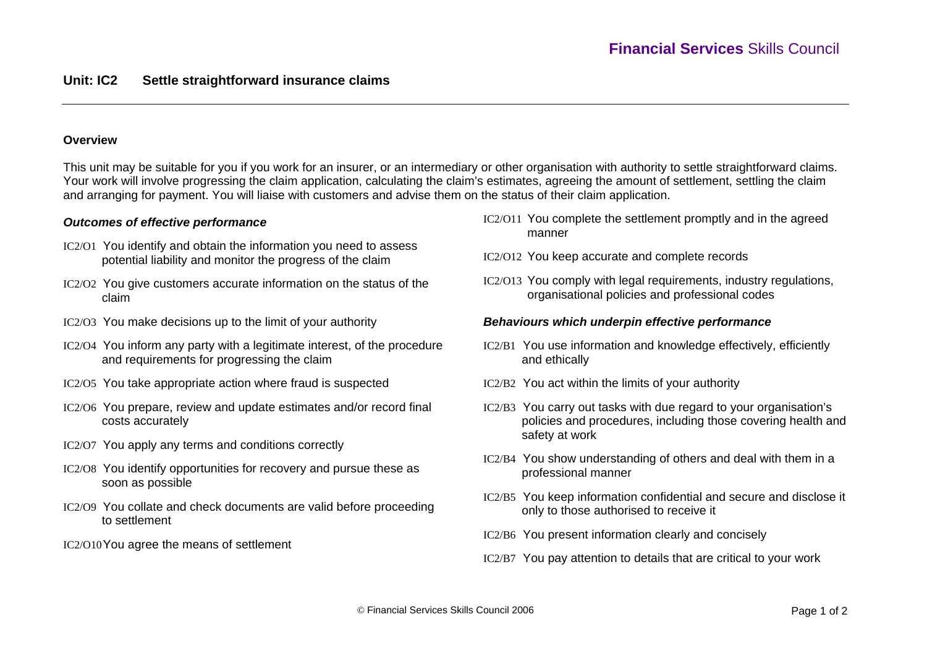## **Overview**

This unit may be suitable for you if you work for an insurer, or an intermediary or other organisation with authority to settle straightforward claims. Your work will involve progressing the claim application, calculating the claim's estimates, agreeing the amount of settlement, settling the claim and arranging for payment. You will liaise with customers and advise them on the status of their claim application.

## *Outcomes of effective performance*

- IC2/O1 You identify and obtain the information you need to assess potential liability and monitor the progress of the claim
- IC2/O2 You give customers accurate information on the status of the claim
- IC2/O3 You make decisions up to the limit of your authority
- IC2/O4 You inform any party with a legitimate interest, of the procedure and requirements for progressing the claim
- IC2/O5 You take appropriate action where fraud is suspected
- IC2/O6 You prepare, review and update estimates and/or record final costs accurately
- IC2/O7 You apply any terms and conditions correctly
- IC2/O8 You identify opportunities for recovery and pursue these as soon as possible
- IC2/O9 You collate and check documents are valid before proceeding to settlement
- IC2/O10You agree the means of settlement
- IC2/O11 You complete the settlement promptly and in the agreed manner
- IC2/O12 You keep accurate and complete records
- IC2/O13 You comply with legal requirements, industry regulations, organisational policies and professional codes

## *Behaviours which underpin effective performance*

- IC2/B1 You use information and knowledge effectively, efficiently and ethically
- IC2/B2 You act within the limits of your authority
- IC2/B3 You carry out tasks with due regard to your organisation's policies and procedures, including those covering health and safety at work
- IC2/B4 You show understanding of others and deal with them in a professional manner
- IC2/B5 You keep information confidential and secure and disclose it only to those authorised to receive it
- IC2/B6 You present information clearly and concisely
- IC2/B7 You pay attention to details that are critical to your work